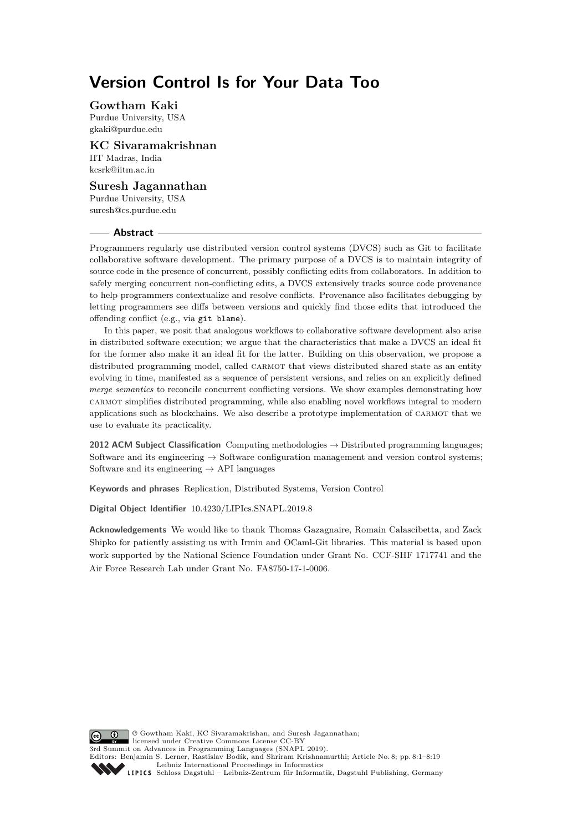# **Version Control Is for Your Data Too**

#### **Gowtham Kaki**

Purdue University, USA [gkaki@purdue.edu](mailto:gkaki@purdue.edu)

## **KC Sivaramakrishnan**

IIT Madras, India [kcsrk@iitm.ac.in](mailto:kcsrk@iitm.ac.in)

## **Suresh Jagannathan**

Purdue University, USA [suresh@cs.purdue.edu](mailto:suresh@cs.purdue.edu)

#### **Abstract**

Programmers regularly use distributed version control systems (DVCS) such as Git to facilitate collaborative software development. The primary purpose of a DVCS is to maintain integrity of source code in the presence of concurrent, possibly conflicting edits from collaborators. In addition to safely merging concurrent non-conflicting edits, a DVCS extensively tracks source code provenance to help programmers contextualize and resolve conflicts. Provenance also facilitates debugging by letting programmers see diffs between versions and quickly find those edits that introduced the offending conflict (e.g., via git blame).

In this paper, we posit that analogous workflows to collaborative software development also arise in distributed software execution; we argue that the characteristics that make a DVCS an ideal fit for the former also make it an ideal fit for the latter. Building on this observation, we propose a distributed programming model, called CARMOT that views distributed shared state as an entity evolving in time, manifested as a sequence of persistent versions, and relies on an explicitly defined *merge semantics* to reconcile concurrent conflicting versions. We show examples demonstrating how carmot simplifies distributed programming, while also enabling novel workflows integral to modern applications such as blockchains. We also describe a prototype implementation of carmot that we use to evaluate its practicality.

**2012 ACM Subject Classification** Computing methodologies → Distributed programming languages; Software and its engineering → Software configuration management and version control systems; Software and its engineering  $\rightarrow$  API languages

**Keywords and phrases** Replication, Distributed Systems, Version Control

**Digital Object Identifier** [10.4230/LIPIcs.SNAPL.2019.8](https://doi.org/10.4230/LIPIcs.SNAPL.2019.8)

**Acknowledgements** We would like to thank Thomas Gazagnaire, Romain Calascibetta, and Zack Shipko for patiently assisting us with Irmin and OCaml-Git libraries. This material is based upon work supported by the National Science Foundation under Grant No. CCF-SHF 1717741 and the Air Force Research Lab under Grant No. FA8750-17-1-0006.

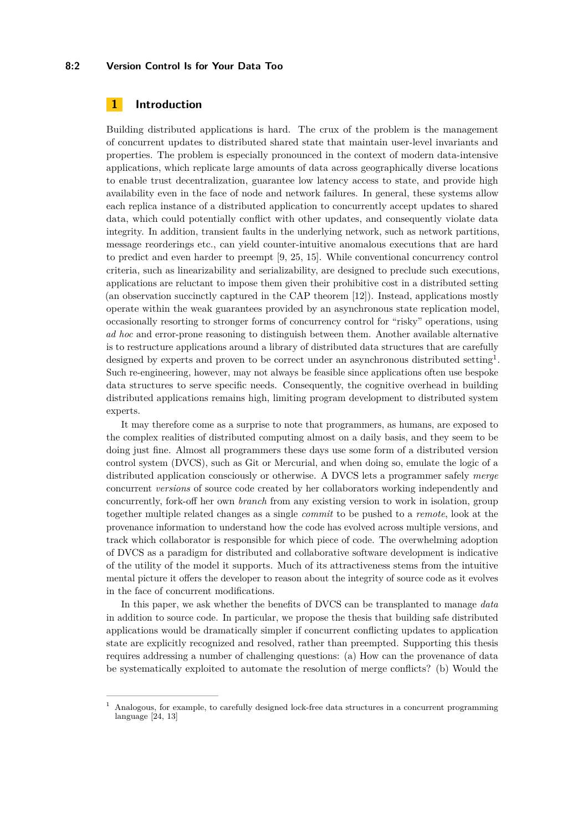#### **8:2 Version Control Is for Your Data Too**

## **1 Introduction**

Building distributed applications is hard. The crux of the problem is the management of concurrent updates to distributed shared state that maintain user-level invariants and properties. The problem is especially pronounced in the context of modern data-intensive applications, which replicate large amounts of data across geographically diverse locations to enable trust decentralization, guarantee low latency access to state, and provide high availability even in the face of node and network failures. In general, these systems allow each replica instance of a distributed application to concurrently accept updates to shared data, which could potentially conflict with other updates, and consequently violate data integrity. In addition, transient faults in the underlying network, such as network partitions, message reorderings etc., can yield counter-intuitive anomalous executions that are hard to predict and even harder to preempt [\[9,](#page-16-0) [25,](#page-18-1) [15\]](#page-17-0). While conventional concurrency control criteria, such as linearizability and serializability, are designed to preclude such executions, applications are reluctant to impose them given their prohibitive cost in a distributed setting (an observation succinctly captured in the CAP theorem [\[12\]](#page-17-1)). Instead, applications mostly operate within the weak guarantees provided by an asynchronous state replication model, occasionally resorting to stronger forms of concurrency control for "risky" operations, using *ad hoc* and error-prone reasoning to distinguish between them. Another available alternative is to restructure applications around a library of distributed data structures that are carefully designed by experts and proven to be correct under an asynchronous distributed setting<sup>[1](#page-1-0)</sup>. Such re-engineering, however, may not always be feasible since applications often use bespoke data structures to serve specific needs. Consequently, the cognitive overhead in building distributed applications remains high, limiting program development to distributed system experts.

It may therefore come as a surprise to note that programmers, as humans, are exposed to the complex realities of distributed computing almost on a daily basis, and they seem to be doing just fine. Almost all programmers these days use some form of a distributed version control system (DVCS), such as Git or Mercurial, and when doing so, emulate the logic of a distributed application consciously or otherwise. A DVCS lets a programmer safely *merge* concurrent *versions* of source code created by her collaborators working independently and concurrently, fork-off her own *branch* from any existing version to work in isolation, group together multiple related changes as a single *commit* to be pushed to a *remote*, look at the provenance information to understand how the code has evolved across multiple versions, and track which collaborator is responsible for which piece of code. The overwhelming adoption of DVCS as a paradigm for distributed and collaborative software development is indicative of the utility of the model it supports. Much of its attractiveness stems from the intuitive mental picture it offers the developer to reason about the integrity of source code as it evolves in the face of concurrent modifications.

In this paper, we ask whether the benefits of DVCS can be transplanted to manage *data* in addition to source code. In particular, we propose the thesis that building safe distributed applications would be dramatically simpler if concurrent conflicting updates to application state are explicitly recognized and resolved, rather than preempted. Supporting this thesis requires addressing a number of challenging questions: (a) How can the provenance of data be systematically exploited to automate the resolution of merge conflicts? (b) Would the

<span id="page-1-0"></span><sup>1</sup> Analogous, for example, to carefully designed lock-free data structures in a concurrent programming language [\[24,](#page-17-2) [13\]](#page-17-3)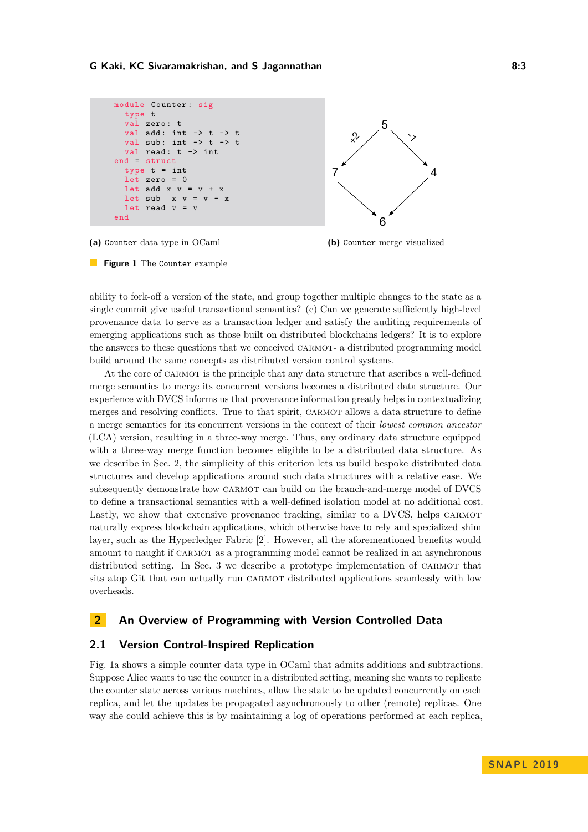```
module Counter : sig
  type t
  val zero: t
  val add: int \rightarrow t \rightarrow t
  val sub: int \rightarrow t \rightarrow tval read: t \rightarrow intend = struct
  type t = intlet zero = 0let add x v = v + xlet sub x \, y = y - xlet read v = vend
```


**(a)** Counter data type in OCaml





ability to fork-off a version of the state, and group together multiple changes to the state as a single commit give useful transactional semantics? (c) Can we generate sufficiently high-level provenance data to serve as a transaction ledger and satisfy the auditing requirements of emerging applications such as those built on distributed blockchains ledgers? It is to explore the answers to these questions that we conceived carmot- a distributed programming model build around the same concepts as distributed version control systems.

At the core of CARMOT is the principle that any data structure that ascribes a well-defined merge semantics to merge its concurrent versions becomes a distributed data structure. Our experience with DVCS informs us that provenance information greatly helps in contextualizing merges and resolving conflicts. True to that spirit, CARMOT allows a data structure to define a merge semantics for its concurrent versions in the context of their *lowest common ancestor* (LCA) version, resulting in a three-way merge. Thus, any ordinary data structure equipped with a three-way merge function becomes eligible to be a distributed data structure. As we describe in Sec. [2,](#page-2-0) the simplicity of this criterion lets us build bespoke distributed data structures and develop applications around such data structures with a relative ease. We subsequently demonstrate how CARMOT can build on the branch-and-merge model of DVCS to define a transactional semantics with a well-defined isolation model at no additional cost. Lastly, we show that extensive provenance tracking, similar to a DVCS, helps CARMOT naturally express blockchain applications, which otherwise have to rely and specialized shim layer, such as the Hyperledger Fabric [\[2\]](#page-16-1). However, all the aforementioned benefits would amount to naught if carmot as a programming model cannot be realized in an asynchronous distributed setting. In Sec. [3](#page-9-0) we describe a prototype implementation of CARMOT that sits atop Git that can actually run CARMOT distributed applications seamlessly with low overheads.

## <span id="page-2-0"></span>**2 An Overview of Programming with Version Controlled Data**

## **2.1 Version Control-Inspired Replication**

Fig. [1a](#page-2-1) shows a simple counter data type in OCaml that admits additions and subtractions. Suppose Alice wants to use the counter in a distributed setting, meaning she wants to replicate the counter state across various machines, allow the state to be updated concurrently on each replica, and let the updates be propagated asynchronously to other (remote) replicas. One way she could achieve this is by maintaining a log of operations performed at each replica,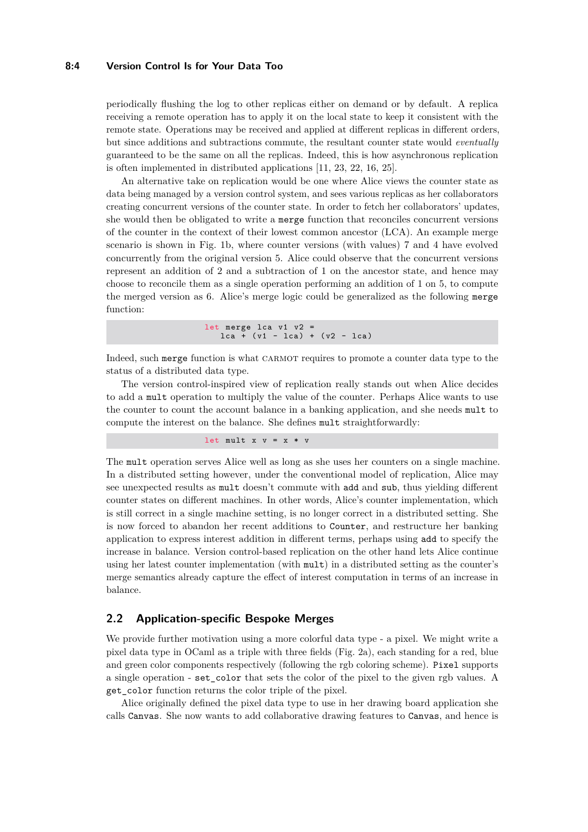#### **8:4 Version Control Is for Your Data Too**

periodically flushing the log to other replicas either on demand or by default. A replica receiving a remote operation has to apply it on the local state to keep it consistent with the remote state. Operations may be received and applied at different replicas in different orders, but since additions and subtractions commute, the resultant counter state would *eventually* guaranteed to be the same on all the replicas. Indeed, this is how asynchronous replication is often implemented in distributed applications [\[11,](#page-16-2) [23,](#page-17-4) [22,](#page-17-5) [16,](#page-17-6) [25\]](#page-18-1).

An alternative take on replication would be one where Alice views the counter state as data being managed by a version control system, and sees various replicas as her collaborators creating concurrent versions of the counter state. In order to fetch her collaborators' updates, she would then be obligated to write a merge function that reconciles concurrent versions of the counter in the context of their lowest common ancestor (LCA). An example merge scenario is shown in Fig. [1b,](#page-2-1) where counter versions (with values) 7 and 4 have evolved concurrently from the original version 5. Alice could observe that the concurrent versions represent an addition of 2 and a subtraction of 1 on the ancestor state, and hence may choose to reconcile them as a single operation performing an addition of 1 on 5, to compute the merged version as 6. Alice's merge logic could be generalized as the following merge function:

```
let merge lca v1 v2 =
   lca + (v1 - lca) + (v2 - lca)
```
Indeed, such merge function is what carmot requires to promote a counter data type to the status of a distributed data type.

The version control-inspired view of replication really stands out when Alice decides to add a mult operation to multiply the value of the counter. Perhaps Alice wants to use the counter to count the account balance in a banking application, and she needs mult to compute the interest on the balance. She defines mult straightforwardly:

```
let mult x v = x * v
```
The mult operation serves Alice well as long as she uses her counters on a single machine. In a distributed setting however, under the conventional model of replication, Alice may see unexpected results as mult doesn't commute with add and sub, thus yielding different counter states on different machines. In other words, Alice's counter implementation, which is still correct in a single machine setting, is no longer correct in a distributed setting. She is now forced to abandon her recent additions to Counter, and restructure her banking application to express interest addition in different terms, perhaps using add to specify the increase in balance. Version control-based replication on the other hand lets Alice continue using her latest counter implementation (with mult) in a distributed setting as the counter's merge semantics already capture the effect of interest computation in terms of an increase in balance.

## **2.2 Application-specific Bespoke Merges**

We provide further motivation using a more colorful data type - a pixel. We might write a pixel data type in OCaml as a triple with three fields (Fig. [2a\)](#page-4-0), each standing for a red, blue and green color components respectively (following the rgb coloring scheme). Pixel supports a single operation - set\_color that sets the color of the pixel to the given rgb values. A get\_color function returns the color triple of the pixel.

Alice originally defined the pixel data type to use in her drawing board application she calls Canvas. She now wants to add collaborative drawing features to Canvas, and hence is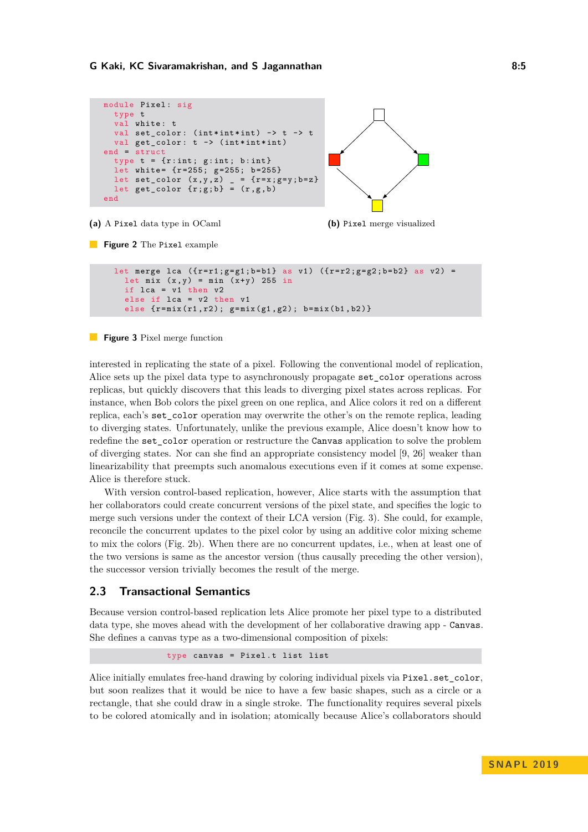```
module Pixel: sig
     type t
     val white: t
     val set_color: (int*int*) -> t -> t
     val get_color: t -> (int*int*int)
   end = struct
     type t = \{r : int; g : int; b : int\}let white= \{r = 255; g = 255; b = 255\}let set_color (x, y, z) _ = {r=x; g=y; b=z}
     let get\_color \{r;g;b\} = (r,g,b)end
(a) A Pixel data type in OCaml
                                                             5
                                                   7 4
                                                             6
                                                  (b) Pixel merge visualized
Figure 2 The Pixel example
     let merge lca ({r = r1 ; g = g1 ; b = b1} as v1) ({r = r2 ; g = g2 ; b = b2} as v2) =
       let mix (x, y) = min(x+y) 255 in
       if lca = v1 then v2else if lca = v2 then v1
       else \{r = \min(r1, r2); g = \min(g1, g2); b = \min(b1, b2)\}\
```
<span id="page-4-1"></span>**Figure 3** Pixel merge function

interested in replicating the state of a pixel. Following the conventional model of replication, Alice sets up the pixel data type to asynchronously propagate set\_color operations across replicas, but quickly discovers that this leads to diverging pixel states across replicas. For instance, when Bob colors the pixel green on one replica, and Alice colors it red on a different replica, each's set\_color operation may overwrite the other's on the remote replica, leading to diverging states. Unfortunately, unlike the previous example, Alice doesn't know how to redefine the set color operation or restructure the Canvas application to solve the problem of diverging states. Nor can she find an appropriate consistency model [\[9,](#page-16-0) [26\]](#page-18-2) weaker than linearizability that preempts such anomalous executions even if it comes at some expense. Alice is therefore stuck.

With version control-based replication, however, Alice starts with the assumption that her collaborators could create concurrent versions of the pixel state, and specifies the logic to merge such versions under the context of their LCA version (Fig. [3\)](#page-4-1). She could, for example, reconcile the concurrent updates to the pixel color by using an additive color mixing scheme to mix the colors (Fig. [2b\)](#page-4-0). When there are no concurrent updates, i.e., when at least one of the two versions is same as the ancestor version (thus causally preceding the other version), the successor version trivially becomes the result of the merge.

## **2.3 Transactional Semantics**

Because version control-based replication lets Alice promote her pixel type to a distributed data type, she moves ahead with the development of her collaborative drawing app - Canvas. She defines a canvas type as a two-dimensional composition of pixels:

type canvas = Pixel.t list list

Alice initially emulates free-hand drawing by coloring individual pixels via Pixel.set\_color, but soon realizes that it would be nice to have a few basic shapes, such as a circle or a rectangle, that she could draw in a single stroke. The functionality requires several pixels to be colored atomically and in isolation; atomically because Alice's collaborators should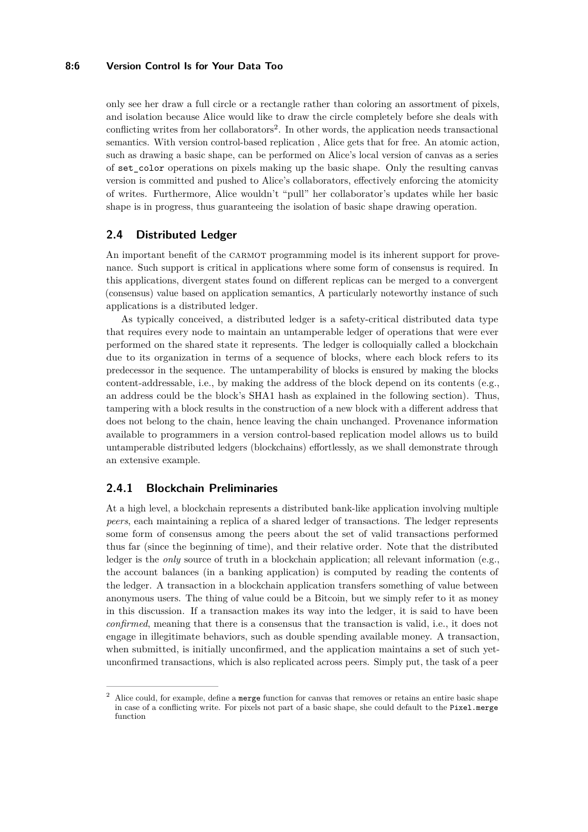#### **8:6 Version Control Is for Your Data Too**

only see her draw a full circle or a rectangle rather than coloring an assortment of pixels, and isolation because Alice would like to draw the circle completely before she deals with conflicting writes from her collaborators<sup>[2](#page-5-0)</sup>. In other words, the application needs transactional semantics. With version control-based replication , Alice gets that for free. An atomic action, such as drawing a basic shape, can be performed on Alice's local version of canvas as a series of set\_color operations on pixels making up the basic shape. Only the resulting canvas version is committed and pushed to Alice's collaborators, effectively enforcing the atomicity of writes. Furthermore, Alice wouldn't "pull" her collaborator's updates while her basic shape is in progress, thus guaranteeing the isolation of basic shape drawing operation.

## **2.4 Distributed Ledger**

An important benefit of the CARMOT programming model is its inherent support for provenance. Such support is critical in applications where some form of consensus is required. In this applications, divergent states found on different replicas can be merged to a convergent (consensus) value based on application semantics, A particularly noteworthy instance of such applications is a distributed ledger.

As typically conceived, a distributed ledger is a safety-critical distributed data type that requires every node to maintain an untamperable ledger of operations that were ever performed on the shared state it represents. The ledger is colloquially called a blockchain due to its organization in terms of a sequence of blocks, where each block refers to its predecessor in the sequence. The untamperability of blocks is ensured by making the blocks content-addressable, i.e., by making the address of the block depend on its contents (e.g., an address could be the block's SHA1 hash as explained in the following section). Thus, tampering with a block results in the construction of a new block with a different address that does not belong to the chain, hence leaving the chain unchanged. Provenance information available to programmers in a version control-based replication model allows us to build untamperable distributed ledgers (blockchains) effortlessly, as we shall demonstrate through an extensive example.

## **2.4.1 Blockchain Preliminaries**

At a high level, a blockchain represents a distributed bank-like application involving multiple *peers*, each maintaining a replica of a shared ledger of transactions. The ledger represents some form of consensus among the peers about the set of valid transactions performed thus far (since the beginning of time), and their relative order. Note that the distributed ledger is the *only* source of truth in a blockchain application; all relevant information (e.g., the account balances (in a banking application) is computed by reading the contents of the ledger. A transaction in a blockchain application transfers something of value between anonymous users. The thing of value could be a Bitcoin, but we simply refer to it as money in this discussion. If a transaction makes its way into the ledger, it is said to have been *confirmed*, meaning that there is a consensus that the transaction is valid, i.e., it does not engage in illegitimate behaviors, such as double spending available money. A transaction, when submitted, is initially unconfirmed, and the application maintains a set of such yetunconfirmed transactions, which is also replicated across peers. Simply put, the task of a peer

<span id="page-5-0"></span>Alice could, for example, define a merge function for canvas that removes or retains an entire basic shape in case of a conflicting write. For pixels not part of a basic shape, she could default to the Pixel.merge function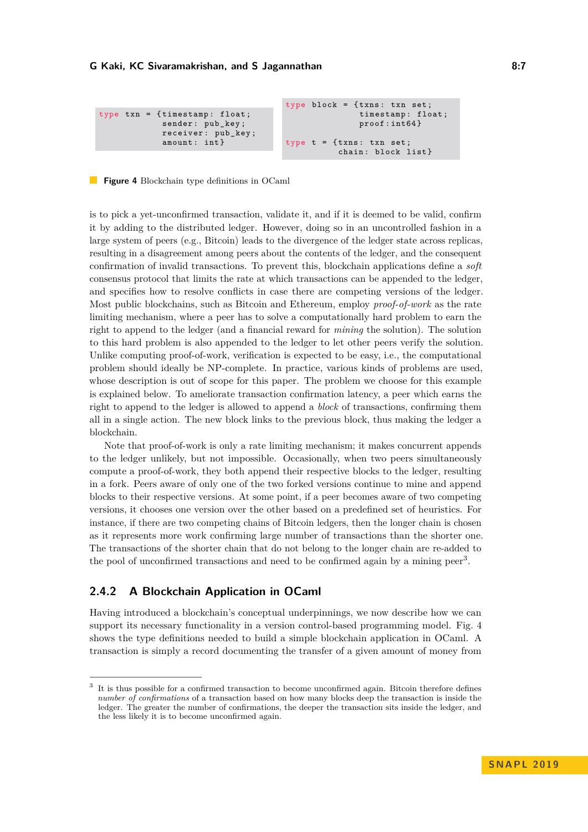<span id="page-6-1"></span>

|                                                                              | type block = $\{t x n s : t x n s e t\}$ |
|------------------------------------------------------------------------------|------------------------------------------|
| type $\tan = \{t$ imestamp: float;<br>sender: pub_key;<br>receiver: pub_key; | timestamp: float;<br>$proof: int64$ }    |
| $amount: int$ }                                                              | type $t = \{txns: txn set;$              |
|                                                                              | chain: block list}                       |

#### **Figure 4** Blockchain type definitions in OCaml

is to pick a yet-unconfirmed transaction, validate it, and if it is deemed to be valid, confirm it by adding to the distributed ledger. However, doing so in an uncontrolled fashion in a large system of peers (e.g., Bitcoin) leads to the divergence of the ledger state across replicas, resulting in a disagreement among peers about the contents of the ledger, and the consequent confirmation of invalid transactions. To prevent this, blockchain applications define a *soft* consensus protocol that limits the rate at which transactions can be appended to the ledger, and specifies how to resolve conflicts in case there are competing versions of the ledger. Most public blockchains, such as Bitcoin and Ethereum, employ *proof-of-work* as the rate limiting mechanism, where a peer has to solve a computationally hard problem to earn the right to append to the ledger (and a financial reward for *mining* the solution). The solution to this hard problem is also appended to the ledger to let other peers verify the solution. Unlike computing proof-of-work, verification is expected to be easy, i.e., the computational problem should ideally be NP-complete. In practice, various kinds of problems are used, whose description is out of scope for this paper. The problem we choose for this example is explained below. To ameliorate transaction confirmation latency, a peer which earns the right to append to the ledger is allowed to append a *block* of transactions, confirming them all in a single action. The new block links to the previous block, thus making the ledger a blockchain.

Note that proof-of-work is only a rate limiting mechanism; it makes concurrent appends to the ledger unlikely, but not impossible. Occasionally, when two peers simultaneously compute a proof-of-work, they both append their respective blocks to the ledger, resulting in a fork. Peers aware of only one of the two forked versions continue to mine and append blocks to their respective versions. At some point, if a peer becomes aware of two competing versions, it chooses one version over the other based on a predefined set of heuristics. For instance, if there are two competing chains of Bitcoin ledgers, then the longer chain is chosen as it represents more work confirming large number of transactions than the shorter one. The transactions of the shorter chain that do not belong to the longer chain are re-added to the pool of unconfirmed transactions and need to be confirmed again by a mining peer<sup>[3](#page-6-0)</sup>.

## **2.4.2 A Blockchain Application in OCaml**

Having introduced a blockchain's conceptual underpinnings, we now describe how we can support its necessary functionality in a version control-based programming model. Fig. [4](#page-6-1) shows the type definitions needed to build a simple blockchain application in OCaml. A transaction is simply a record documenting the transfer of a given amount of money from

<span id="page-6-0"></span><sup>3</sup> It is thus possible for a confirmed transaction to become unconfirmed again. Bitcoin therefore defines *number of confirmations* of a transaction based on how many blocks deep the transaction is inside the ledger. The greater the number of confirmations, the deeper the transaction sits inside the ledger, and the less likely it is to become unconfirmed again.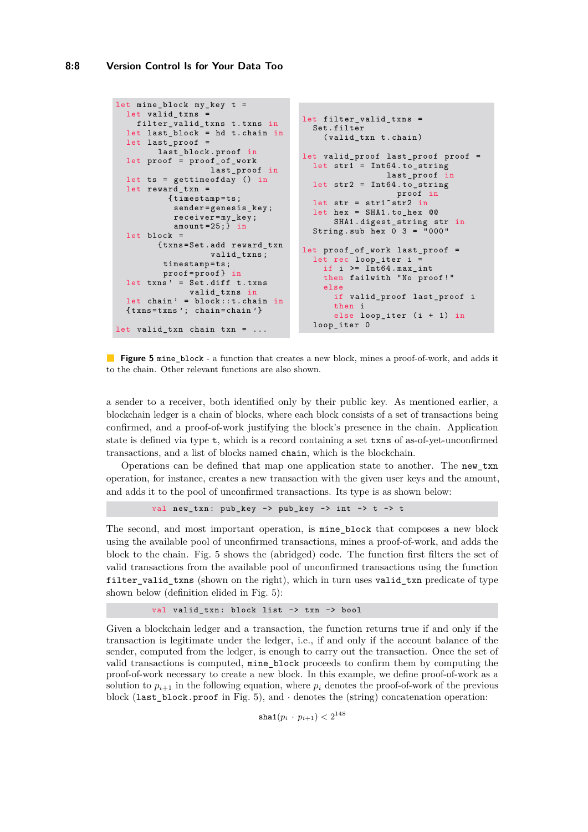#### **8:8 Version Control Is for Your Data Too**

```
let mine_block my_key t =
  let valid_txns
   filter_valid_txns t.txns in
  let last_block = hd t . chain in
  let last_proof =
        last_block . proof in
  let proof = proof_of_work
                   last_proof in
  let ts = gettimeofday () in
  let reward_txn =
          { timestamp = ts ;
           sender = genesis_key ;
           receiver = my_key ;
           amount =25;} in
  let block =
        { txns = Set . add reward_txn
                   valid_txns ;
         timestamp = ts ;
         proof = proof } in
  let trans' = Set.diff t. txns
              valid_txns in
  let chain' = block::t. chain in{ txns = txns '; chain = chain ' }
let valid_txn chain txn = ...
                                      let filter_valid_txns =
                                        Set . filter
                                           (valid_txn t.chain)
                                      let valid_proof last_proof proof =
                                         let str1 = Int64.to_stringlast_proof in
                                        let str2 = Int64 . to_string
                                                          proof in
                                        let str = str1<sup>\text{str2} in</sup>
                                        let hex = SHA1 . to_hex @@
                                             SHA1 . digest_string str in
                                        String sub hex 0 3 = "000"
                                      let proof_of_work last_proof =
                                         let rec loop iter i
                                          if i >= Int64 . max_int
                                           then failwith "No proof!"
                                           else
                                             if valid_proof last_proof i
                                             then i
                                             else loop_iter (i + 1) in
                                        loop_iter 0
```
**Figure 5** mine\_block - a function that creates a new block, mines a proof-of-work, and adds it to the chain. Other relevant functions are also shown.

a sender to a receiver, both identified only by their public key. As mentioned earlier, a blockchain ledger is a chain of blocks, where each block consists of a set of transactions being confirmed, and a proof-of-work justifying the block's presence in the chain. Application state is defined via type t, which is a record containing a set txns of as-of-yet-unconfirmed transactions, and a list of blocks named chain, which is the blockchain.

Operations can be defined that map one application state to another. The new\_txn operation, for instance, creates a new transaction with the given user keys and the amount, and adds it to the pool of unconfirmed transactions. Its type is as shown below:

val new\_txn: pub\_key -> pub\_key -> int -> t -> t

The second, and most important operation, is mine\_block that composes a new block using the available pool of unconfirmed transactions, mines a proof-of-work, and adds the block to the chain. Fig. [5](#page-7-0) shows the (abridged) code. The function first filters the set of valid transactions from the available pool of unconfirmed transactions using the function filter\_valid\_txns (shown on the right), which in turn uses valid\_txn predicate of type shown below (definition elided in Fig. [5\)](#page-7-0):

val valid\_txn: block list -> txn -> bool

Given a blockchain ledger and a transaction, the function returns true if and only if the transaction is legitimate under the ledger, i.e., if and only if the account balance of the sender, computed from the ledger, is enough to carry out the transaction. Once the set of valid transactions is computed, mine\_block proceeds to confirm them by computing the proof-of-work necessary to create a new block. In this example, we define proof-of-work as a solution to  $p_{i+1}$  in the following equation, where  $p_i$  denotes the proof-of-work of the previous block (last\_block.proof in Fig. [5\)](#page-7-0), and  $\cdot$  denotes the (string) concatenation operation:

 $\mathtt{sha1}(p_i\,cdot p_{i+1}) < 2^{148}$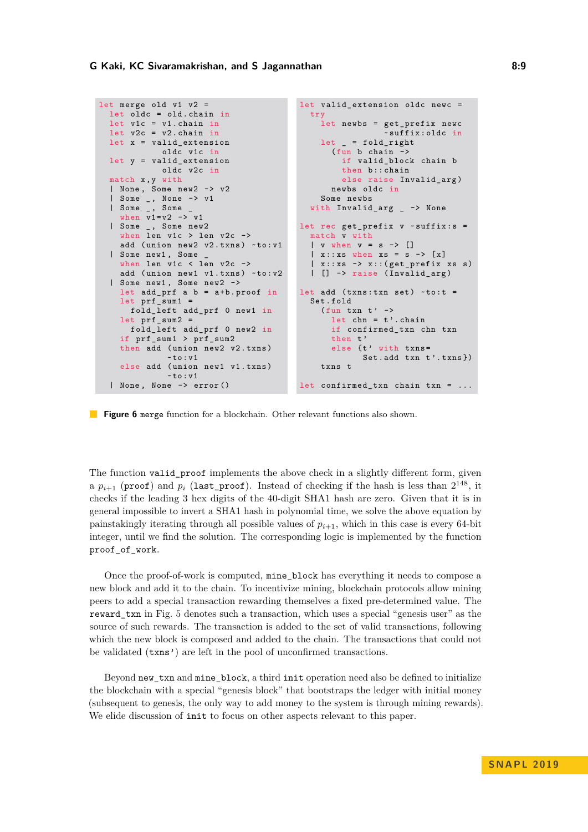```
let merge old v1 v2 =let oldc = old. chain inlet v1c = v1. chain in
  let v2c = v2. chain in
  let x = valid_extension
            oldc v1c in
  let y = valid extensionoldc v2c in
  match x , y with
  | None , Some new2 -> v2
  | Some _ , None -> v1
  | Some _, Some
    when v1 = v2 -> v1| Some _ , Some new2
    when len v1c > len v2c ->
    add (union new2 v2.txns) ~to:v1
  | Some new1 , Some _
    when len v1c < len v2c ->
    add (union new1 v1.txns) ~to: v2
  | Some new1 , Some new2 ->
    let add\_prf a b = a+b \cdot proof in
    let prf_sum1 =
      fold_left add_prf 0 new1 in
    let prf_sum2 =
      fold_left add_prf 0 new2 in
    if prf_sum1 > prf_sum2
    then add (union new2 v2.txns)
              ~5 to : v1else add (union new1 v1.txns)
              ~\simto:v1| None , None -> error ()
                                          let valid extension oldc newc =
                                            try
                                              let newbs = get_prefix newc
                                                            ~ suffix : oldc in
                                             let = fold\_right(fun b chain ->
                                                  if valid_block chain b
                                                  then b:: chain
                                                  else raise Invalid_arg)
                                                newbs oldc in
                                              Some newbs
                                            with Invalid_arg _ -> None
                                          let rec get_prefix v \sim suffix : s =
                                            match v with
                                            | v when v = s \rightarrow |\vert x : : x s when x s = s \rightarrow [x]| x :: xs -> x ::( get_prefix xs s )
                                            | [] -> raise ( Invalid_arg )
                                         let add (trans:txn set) ~to:t =
                                            Set . fold
                                              (fun txn t' ->
                                                let chn = t'. chain
                                                if confirmed_txn chn txn
                                                then t'
                                                else {t' with txns=
                                                       Set. add \tan t' . \text{trans}})
                                              txns t
                                         let confirmed txn chain txn = \dots
```
**Figure 6** merge function for a blockchain. Other relevant functions also shown.

The function valid\_proof implements the above check in a slightly different form, given a  $p_{i+1}$  (proof) and  $p_i$  (last\_proof). Instead of checking if the hash is less than  $2^{148}$ , it checks if the leading 3 hex digits of the 40-digit SHA1 hash are zero. Given that it is in general impossible to invert a SHA1 hash in polynomial time, we solve the above equation by painstakingly iterating through all possible values of  $p_{i+1}$ , which in this case is every 64-bit integer, until we find the solution. The corresponding logic is implemented by the function proof of work.

Once the proof-of-work is computed, mine\_block has everything it needs to compose a new block and add it to the chain. To incentivize mining, blockchain protocols allow mining peers to add a special transaction rewarding themselves a fixed pre-determined value. The reward\_txn in Fig. [5](#page-7-0) denotes such a transaction, which uses a special "genesis user" as the source of such rewards. The transaction is added to the set of valid transactions, following which the new block is composed and added to the chain. The transactions that could not be validated (txns') are left in the pool of unconfirmed transactions.

Beyond new\_txn and mine\_block, a third init operation need also be defined to initialize the blockchain with a special "genesis block" that bootstraps the ledger with initial money (subsequent to genesis, the only way to add money to the system is through mining rewards). We elide discussion of init to focus on other aspects relevant to this paper.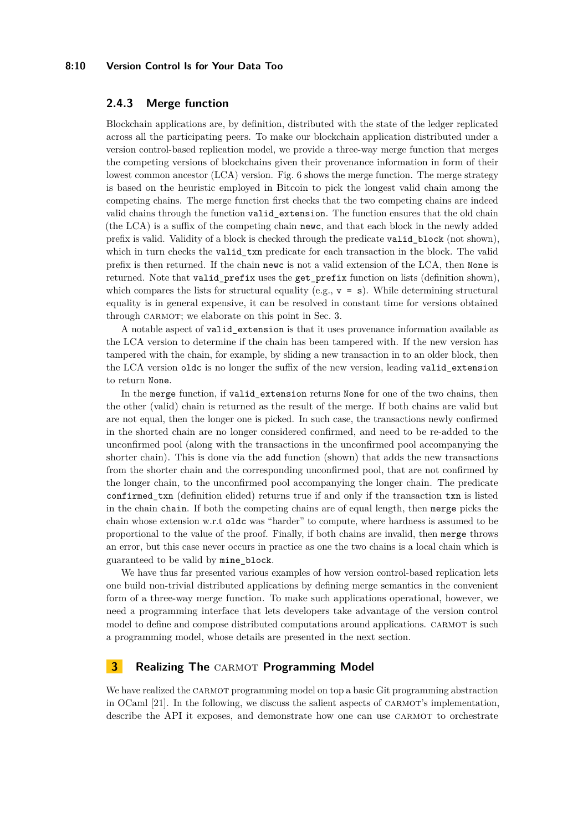#### **8:10 Version Control Is for Your Data Too**

## **2.4.3 Merge function**

Blockchain applications are, by definition, distributed with the state of the ledger replicated across all the participating peers. To make our blockchain application distributed under a version control-based replication model, we provide a three-way merge function that merges the competing versions of blockchains given their provenance information in form of their lowest common ancestor (LCA) version. Fig. [6](#page-8-0) shows the merge function. The merge strategy is based on the heuristic employed in Bitcoin to pick the longest valid chain among the competing chains. The merge function first checks that the two competing chains are indeed valid chains through the function valid\_extension. The function ensures that the old chain (the LCA) is a suffix of the competing chain newc, and that each block in the newly added prefix is valid. Validity of a block is checked through the predicate valid\_block (not shown), which in turn checks the valid\_txn predicate for each transaction in the block. The valid prefix is then returned. If the chain newc is not a valid extension of the LCA, then None is returned. Note that valid\_prefix uses the get\_prefix function on lists (definition shown), which compares the lists for structural equality (e.g.,  $v = s$ ). While determining structural equality is in general expensive, it can be resolved in constant time for versions obtained through CARMOT; we elaborate on this point in Sec. [3.](#page-9-0)

A notable aspect of valid\_extension is that it uses provenance information available as the LCA version to determine if the chain has been tampered with. If the new version has tampered with the chain, for example, by sliding a new transaction in to an older block, then the LCA version oldc is no longer the suffix of the new version, leading valid\_extension to return None.

In the merge function, if valid extension returns None for one of the two chains, then the other (valid) chain is returned as the result of the merge. If both chains are valid but are not equal, then the longer one is picked. In such case, the transactions newly confirmed in the shorted chain are no longer considered confirmed, and need to be re-added to the unconfirmed pool (along with the transactions in the unconfirmed pool accompanying the shorter chain). This is done via the add function (shown) that adds the new transactions from the shorter chain and the corresponding unconfirmed pool, that are not confirmed by the longer chain, to the unconfirmed pool accompanying the longer chain. The predicate confirmed\_txn (definition elided) returns true if and only if the transaction txn is listed in the chain chain. If both the competing chains are of equal length, then merge picks the chain whose extension w.r.t oldc was "harder" to compute, where hardness is assumed to be proportional to the value of the proof. Finally, if both chains are invalid, then merge throws an error, but this case never occurs in practice as one the two chains is a local chain which is guaranteed to be valid by mine\_block.

We have thus far presented various examples of how version control-based replication lets one build non-trivial distributed applications by defining merge semantics in the convenient form of a three-way merge function. To make such applications operational, however, we need a programming interface that lets developers take advantage of the version control model to define and compose distributed computations around applications. CARMOT is such a programming model, whose details are presented in the next section.

## <span id="page-9-0"></span>**3 Realizing The CARMOT Programming Model**

We have realized the CARMOT programming model on top a basic Git programming abstraction in OCaml [\[21\]](#page-17-7). In the following, we discuss the salient aspects of carmot's implementation, describe the API it exposes, and demonstrate how one can use CARMOT to orchestrate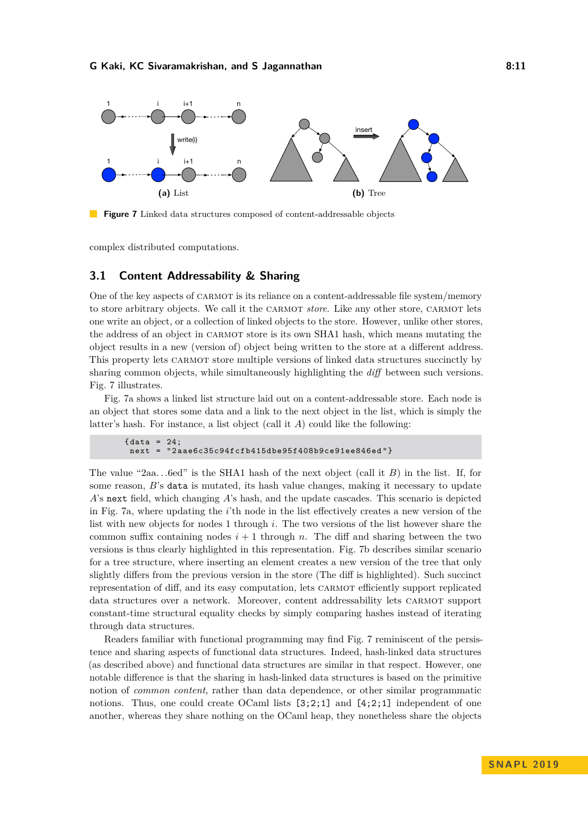<span id="page-10-0"></span>

**Figure 7** Linked data structures composed of content-addressable objects

complex distributed computations.

## **3.1 Content Addressability & Sharing**

One of the key aspects of CARMOT is its reliance on a content-addressable file system/memory to store arbitrary objects. We call it the CARMOT *store*. Like any other store, CARMOT lets one write an object, or a collection of linked objects to the store. However, unlike other stores, the address of an object in carmot store is its own SHA1 hash, which means mutating the object results in a new (version of) object being written to the store at a different address. This property lets CARMOT store multiple versions of linked data structures succinctly by sharing common objects, while simultaneously highlighting the *diff* between such versions. Fig. [7](#page-10-0) illustrates.

Fig. [7a](#page-10-0) shows a linked list structure laid out on a content-addressable store. Each node is an object that stores some data and a link to the next object in the list, which is simply the latter's hash. For instance, a list object (call it *A*) could like the following:

```
\{ data = 24;
next = " 2 aae6c35c94fcfb415dbe95f408b9ce91ee846ed " }
```
The value "2aa*. . .*6ed" is the SHA1 hash of the next object (call it *B*) in the list. If, for some reason, *B*'s data is mutated, its hash value changes, making it necessary to update *A*'s next field, which changing *A*'s hash, and the update cascades. This scenario is depicted in Fig. [7a,](#page-10-0) where updating the *i*'th node in the list effectively creates a new version of the list with new objects for nodes 1 through *i*. The two versions of the list however share the common suffix containing nodes  $i + 1$  through *n*. The diff and sharing between the two versions is thus clearly highlighted in this representation. Fig. [7b](#page-10-0) describes similar scenario for a tree structure, where inserting an element creates a new version of the tree that only slightly differs from the previous version in the store (The diff is highlighted). Such succinct representation of diff, and its easy computation, lets carmot efficiently support replicated data structures over a network. Moreover, content addressability lets carmot support constant-time structural equality checks by simply comparing hashes instead of iterating through data structures.

Readers familiar with functional programming may find Fig. [7](#page-10-0) reminiscent of the persistence and sharing aspects of functional data structures. Indeed, hash-linked data structures (as described above) and functional data structures are similar in that respect. However, one notable difference is that the sharing in hash-linked data structures is based on the primitive notion of *common content*, rather than data dependence, or other similar programmatic notions. Thus, one could create OCaml lists  $[3,2;1]$  and  $[4,2;1]$  independent of one another, whereas they share nothing on the OCaml heap, they nonetheless share the objects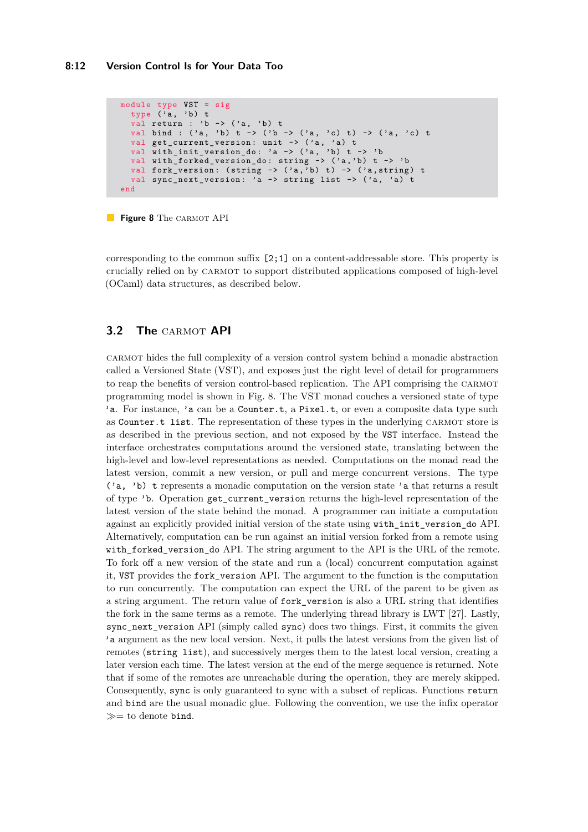```
module type VST = sig
  type (\overline{a}, b) t
  val return : 'b \rightarrow ('a, 'b) t
  val bind : ('a, 'b) t -> ('b -> ('a, 'c) t) -> ('a, 'c) t
  val get_current_version: unit -> ('a, 'a) t
  val with_init_version_do: 'a -> ('a, 'b) t -> 'b
  val with_forked_version_do: string -> ('a,'b) t -> 'b
  val fork_version: (string -> ('a,'b) t) -> ('a,string) t
  val sync_next_version: 'a -> string list -> ('a, 'a) t
end
```
**Figure 8** The CARMOT API

corresponding to the common suffix [2;1] on a content-addressable store. This property is crucially relied on by carmot to support distributed applications composed of high-level (OCaml) data structures, as described below.

## **3.2 The CARMOT API**

carmot hides the full complexity of a version control system behind a monadic abstraction called a Versioned State (VST), and exposes just the right level of detail for programmers to reap the benefits of version control-based replication. The API comprising the carmot programming model is shown in Fig. [8.](#page-11-0) The VST monad couches a versioned state of type 'a. For instance, 'a can be a Counter.t, a Pixel.t, or even a composite data type such as Counter.t list. The representation of these types in the underlying CARMOT store is as described in the previous section, and not exposed by the VST interface. Instead the interface orchestrates computations around the versioned state, translating between the high-level and low-level representations as needed. Computations on the monad read the latest version, commit a new version, or pull and merge concurrent versions. The type ('a, 'b) t represents a monadic computation on the version state 'a that returns a result of type 'b. Operation get\_current\_version returns the high-level representation of the latest version of the state behind the monad. A programmer can initiate a computation against an explicitly provided initial version of the state using with\_init\_version\_do API. Alternatively, computation can be run against an initial version forked from a remote using with forked version do API. The string argument to the API is the URL of the remote. To fork off a new version of the state and run a (local) concurrent computation against it, VST provides the fork\_version API. The argument to the function is the computation to run concurrently. The computation can expect the URL of the parent to be given as a string argument. The return value of fork version is also a URL string that identifies the fork in the same terms as a remote. The underlying thread library is LWT [\[27\]](#page-18-3). Lastly, sync\_next\_version API (simply called sync) does two things. First, it commits the given 'a argument as the new local version. Next, it pulls the latest versions from the given list of remotes (string list), and successively merges them to the latest local version, creating a later version each time. The latest version at the end of the merge sequence is returned. Note that if some of the remotes are unreachable during the operation, they are merely skipped. Consequently, sync is only guaranteed to sync with a subset of replicas. Functions return and bind are the usual monadic glue. Following the convention, we use the infix operator  $\gg$  to denote bind.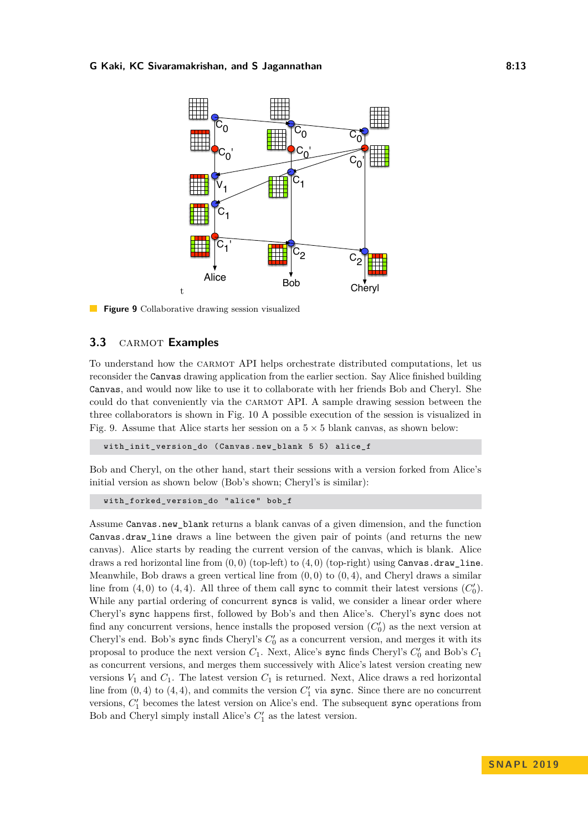#### <span id="page-12-0"></span>**G Kaki, KC Sivaramakrishan, and S Jagannathan 8:13**



**Figure 9** Collaborative drawing session visualized

## **3.3** CARMOT **Examples**

To understand how the carmot API helps orchestrate distributed computations, let us reconsider the Canvas drawing application from the earlier section. Say Alice finished building Canvas, and would now like to use it to collaborate with her friends Bob and Cheryl. She could do that conveniently via the carmot API. A sample drawing session between the three collaborators is shown in Fig. [10](#page-13-0) A possible execution of the session is visualized in Fig. [9.](#page-12-0) Assume that Alice starts her session on a  $5 \times 5$  blank canvas, as shown below:

with\_init\_version\_do ( Canvas . new\_blank 5 5) alice\_f

Bob and Cheryl, on the other hand, start their sessions with a version forked from Alice's initial version as shown below (Bob's shown; Cheryl's is similar):

```
with_forked_version_do " alice " bob_f
```
Assume Canvas.new\_blank returns a blank canvas of a given dimension, and the function Canvas.draw\_line draws a line between the given pair of points (and returns the new canvas). Alice starts by reading the current version of the canvas, which is blank. Alice draws a red horizontal line from  $(0,0)$  (top-left) to  $(4,0)$  (top-right) using Canvas.draw line. Meanwhile, Bob draws a green vertical line from  $(0,0)$  to  $(0,4)$ , and Cheryl draws a similar line from  $(4,0)$  to  $(4,4)$ . All three of them call **sync** to commit their latest versions  $(C'_0)$ . While any partial ordering of concurrent syncs is valid, we consider a linear order where Cheryl's sync happens first, followed by Bob's and then Alice's. Cheryl's sync does not find any concurrent versions, hence installs the proposed version  $(C'_0)$  as the next version at Cheryl's end. Bob's sync finds Cheryl's  $C'_0$  as a concurrent version, and merges it with its proposal to produce the next version  $C_1$ . Next, Alice's sync finds Cheryl's  $C'_0$  and Bob's  $C_1$ as concurrent versions, and merges them successively with Alice's latest version creating new versions  $V_1$  and  $C_1$ . The latest version  $C_1$  is returned. Next, Alice draws a red horizontal line from  $(0, 4)$  to  $(4, 4)$ , and commits the version  $C'_{1}$  via sync. Since there are no concurrent versions,  $C'_{1}$  becomes the latest version on Alice's end. The subsequent sync operations from Bob and Cheryl simply install Alice's  $C_1'$  as the latest version.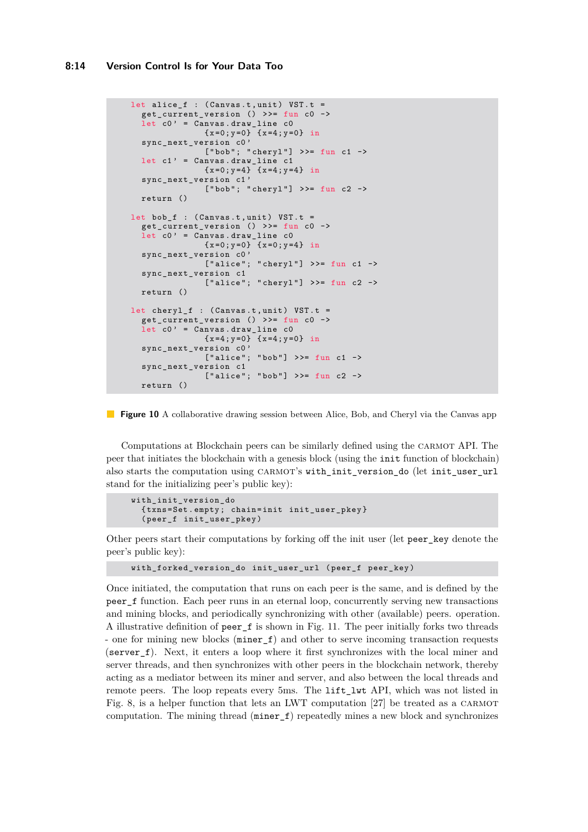```
let alice_f : (Canvas.t, unit) VST.t =
  get_current_version () >>= fun c0 ->
  let c0' = Canvas.draw_line c0{x = 0; y = 0} {x = 4; y = 0} in
  sync_next_version c0 '
              ['bob"; 'chery1"] >> fun c1 ->let c1' = Canvas.draw_line c1
               {x=0; y=4} {x=4; y=4} in
  sync_next_version c1 '
              ["bob"; "cheryl"] >>= fun c2 ->
  return ()
let bob_f : (Canvas.t, unit) VST.t =
  get\_current\_version () >>= fun c0 ->
  let c0' = Canvas.draw line c0{x = 0; y = 0} {x = 0; y = 4} in
  sync_next_version c0 '
              [" alice"; " cheryl"] >>= fun c1 ->
  sync_next_version c1
              ['alice"; "chery1"] >> fun c2 ->return ()
let cheryl f : ( Canvas .t , unit ) VST .t =
  get_current_version () >>= fun c0 ->
  let c0' = Canvas.draw_line c0{x = 4; y = 0} {x = 4; y = 0} in
  sync_next_version c0 '
              ['alice"; "bob"] >> fun c1 ->sync_next_version c1
               ['alice"; "bob"] >> fun c2 ->return ()
```
**Figure 10** A collaborative drawing session between Alice, Bob, and Cheryl via the Canvas app

Computations at Blockchain peers can be similarly defined using the carmot API. The peer that initiates the blockchain with a genesis block (using the init function of blockchain) also starts the computation using CARMOT's with init version do (let init user url stand for the initializing peer's public key):

```
with_init_version_do
  { txns = Set . empty ; chain = init init_user_pkey }
  ( peer_f init_user_pkey )
```
Other peers start their computations by forking off the init user (let peer\_key denote the peer's public key):

```
with_forked_version_do init_user_url ( peer_f peer_key )
```
Once initiated, the computation that runs on each peer is the same, and is defined by the peer f function. Each peer runs in an eternal loop, concurrently serving new transactions and mining blocks, and periodically synchronizing with other (available) peers. operation. A illustrative definition of peer\_f is shown in Fig. [11.](#page-14-0) The peer initially forks two threads - one for mining new blocks (miner\_f) and other to serve incoming transaction requests (server\_f). Next, it enters a loop where it first synchronizes with the local miner and server threads, and then synchronizes with other peers in the blockchain network, thereby acting as a mediator between its miner and server, and also between the local threads and remote peers. The loop repeats every 5ms. The lift lwt API, which was not listed in Fig. [8,](#page-11-0) is a helper function that lets an LWT computation [\[27\]](#page-18-3) be treated as a carmot computation. The mining thread (miner\_f) repeatedly mines a new block and synchronizes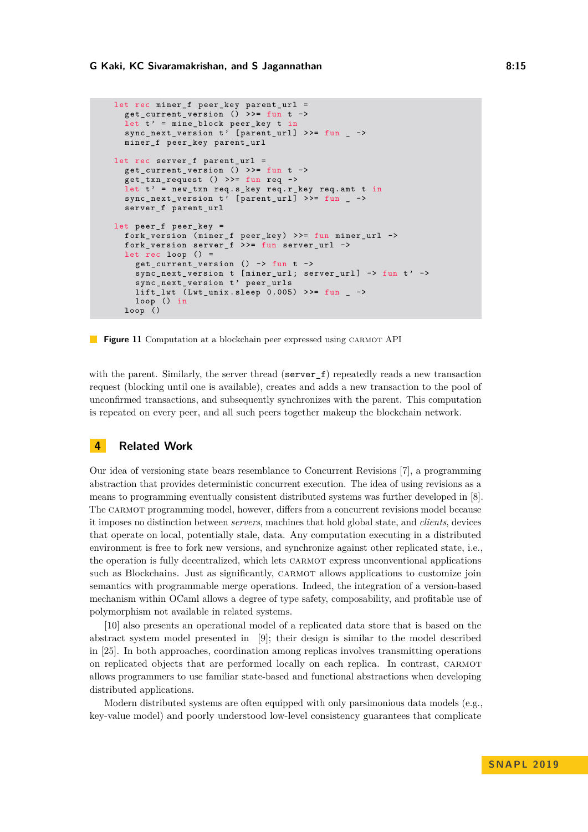```
let rec miner_f peer_key parent_url =
  get_current_version () > >= fun t ->
  let t' = mine_block peer_key t in
  sync_next_version t' [parent_url] >>= fun _ ->
  miner_f peer_key parent_url
let rec server_f parent_url =
  get_current_version () >>= fun t ->
  get_{trans} request () >>= fun req ->
  let t' = new_txn req.s_key req.r_key req.amt t in
  sync_next_version t' [parent_url] >>= fun _ ->
  server_f parent_url
let peer_f peer_key =
  fork_version ( miner_f peer_key ) > >= fun miner_url ->
  fork_version server_f > >= fun server_url ->
  let rec loop () =get_current_version () -> fun t ->
    sync_next_version t [miner_url; server_url] -> fun t' ->
    sync_next_version t' peer_urls
    lift\_lwt (Lwt_unix.sleep 0.005) >>= fun _ ->
   loop () in
  loop ()
```
**Figure 11** Computation at a blockchain peer expressed using CARMOT API

with the parent. Similarly, the server thread (server  $_f$ ) repeatedly reads a new transaction request (blocking until one is available), creates and adds a new transaction to the pool of unconfirmed transactions, and subsequently synchronizes with the parent. This computation is repeated on every peer, and all such peers together makeup the blockchain network.

## **4 Related Work**

Our idea of versioning state bears resemblance to Concurrent Revisions [\[7\]](#page-16-3), a programming abstraction that provides deterministic concurrent execution. The idea of using revisions as a means to programming eventually consistent distributed systems was further developed in [\[8\]](#page-16-4). The carmot programming model, however, differs from a concurrent revisions model because it imposes no distinction between *servers*, machines that hold global state, and *clients*, devices that operate on local, potentially stale, data. Any computation executing in a distributed environment is free to fork new versions, and synchronize against other replicated state, i.e., the operation is fully decentralized, which lets CARMOT express unconventional applications such as Blockchains. Just as significantly, carmot allows applications to customize join semantics with programmable merge operations. Indeed, the integration of a version-based mechanism within OCaml allows a degree of type safety, composability, and profitable use of polymorphism not available in related systems.

[\[10\]](#page-16-5) also presents an operational model of a replicated data store that is based on the abstract system model presented in [\[9\]](#page-16-0); their design is similar to the model described in [\[25\]](#page-18-1). In both approaches, coordination among replicas involves transmitting operations on replicated objects that are performed locally on each replica. In contrast, carmot allows programmers to use familiar state-based and functional abstractions when developing distributed applications.

Modern distributed systems are often equipped with only parsimonious data models (e.g., key-value model) and poorly understood low-level consistency guarantees that complicate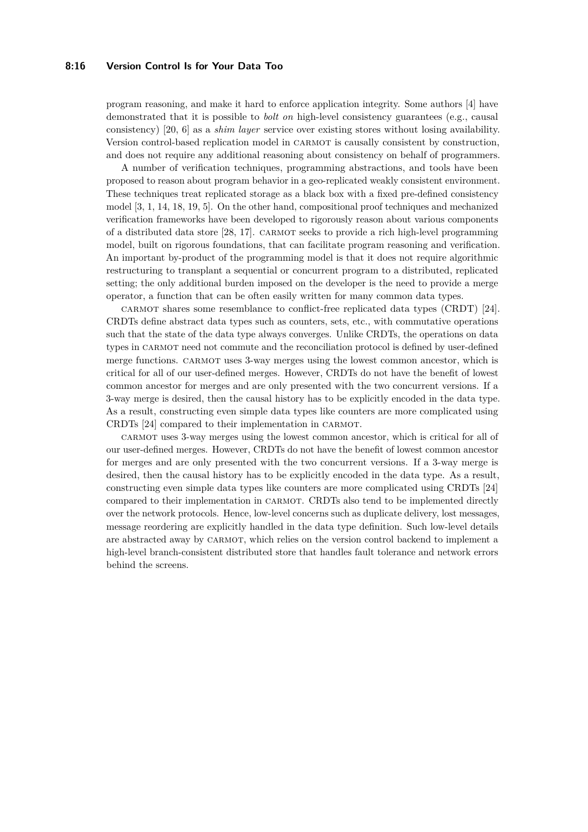#### **8:16 Version Control Is for Your Data Too**

program reasoning, and make it hard to enforce application integrity. Some authors [\[4\]](#page-16-6) have demonstrated that it is possible to *bolt on* high-level consistency guarantees (e.g., causal consistency) [\[20,](#page-17-8) [6\]](#page-16-7) as a *shim layer* service over existing stores without losing availability. Version control-based replication model in carmot is causally consistent by construction, and does not require any additional reasoning about consistency on behalf of programmers.

A number of verification techniques, programming abstractions, and tools have been proposed to reason about program behavior in a geo-replicated weakly consistent environment. These techniques treat replicated storage as a black box with a fixed pre-defined consistency model [\[3,](#page-16-8) [1,](#page-16-9) [14,](#page-17-9) [18,](#page-17-10) [19,](#page-17-11) [5\]](#page-16-10). On the other hand, compositional proof techniques and mechanized verification frameworks have been developed to rigorously reason about various components of a distributed data store [\[28,](#page-18-4) [17\]](#page-17-12). carmot seeks to provide a rich high-level programming model, built on rigorous foundations, that can facilitate program reasoning and verification. An important by-product of the programming model is that it does not require algorithmic restructuring to transplant a sequential or concurrent program to a distributed, replicated setting; the only additional burden imposed on the developer is the need to provide a merge operator, a function that can be often easily written for many common data types.

carmot shares some resemblance to conflict-free replicated data types (CRDT) [\[24\]](#page-17-2). CRDTs define abstract data types such as counters, sets, etc., with commutative operations such that the state of the data type always converges. Unlike CRDTs, the operations on data types in CARMOT need not commute and the reconciliation protocol is defined by user-defined merge functions. CARMOT uses 3-way merges using the lowest common ancestor, which is critical for all of our user-defined merges. However, CRDTs do not have the benefit of lowest common ancestor for merges and are only presented with the two concurrent versions. If a 3-way merge is desired, then the causal history has to be explicitly encoded in the data type. As a result, constructing even simple data types like counters are more complicated using CRDTs [\[24\]](#page-17-2) compared to their implementation in carmot.

carmot uses 3-way merges using the lowest common ancestor, which is critical for all of our user-defined merges. However, CRDTs do not have the benefit of lowest common ancestor for merges and are only presented with the two concurrent versions. If a 3-way merge is desired, then the causal history has to be explicitly encoded in the data type. As a result, constructing even simple data types like counters are more complicated using CRDTs [\[24\]](#page-17-2) compared to their implementation in carmot. CRDTs also tend to be implemented directly over the network protocols. Hence, low-level concerns such as duplicate delivery, lost messages, message reordering are explicitly handled in the data type definition. Such low-level details are abstracted away by CARMOT, which relies on the version control backend to implement a high-level branch-consistent distributed store that handles fault tolerance and network errors behind the screens.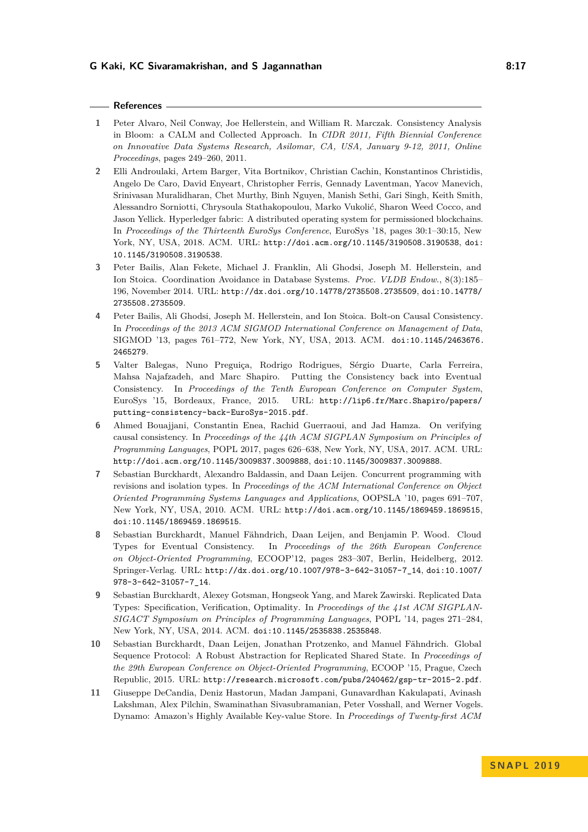#### **References**

- <span id="page-16-9"></span>**1** Peter Alvaro, Neil Conway, Joe Hellerstein, and William R. Marczak. Consistency Analysis in Bloom: a CALM and Collected Approach. In *CIDR 2011, Fifth Biennial Conference on Innovative Data Systems Research, Asilomar, CA, USA, January 9-12, 2011, Online Proceedings*, pages 249–260, 2011.
- <span id="page-16-1"></span>**2** Elli Androulaki, Artem Barger, Vita Bortnikov, Christian Cachin, Konstantinos Christidis, Angelo De Caro, David Enyeart, Christopher Ferris, Gennady Laventman, Yacov Manevich, Srinivasan Muralidharan, Chet Murthy, Binh Nguyen, Manish Sethi, Gari Singh, Keith Smith, Alessandro Sorniotti, Chrysoula Stathakopoulou, Marko Vukolić, Sharon Weed Cocco, and Jason Yellick. Hyperledger fabric: A distributed operating system for permissioned blockchains. In *Proceedings of the Thirteenth EuroSys Conference*, EuroSys '18, pages 30:1–30:15, New York, NY, USA, 2018. ACM. URL: <http://doi.acm.org/10.1145/3190508.3190538>, [doi:](http://dx.doi.org/10.1145/3190508.3190538) [10.1145/3190508.3190538](http://dx.doi.org/10.1145/3190508.3190538).
- <span id="page-16-8"></span>**3** Peter Bailis, Alan Fekete, Michael J. Franklin, Ali Ghodsi, Joseph M. Hellerstein, and Ion Stoica. Coordination Avoidance in Database Systems. *Proc. VLDB Endow.*, 8(3):185– 196, November 2014. URL: <http://dx.doi.org/10.14778/2735508.2735509>, [doi:10.14778/](http://dx.doi.org/10.14778/2735508.2735509) [2735508.2735509](http://dx.doi.org/10.14778/2735508.2735509).
- <span id="page-16-6"></span>**4** Peter Bailis, Ali Ghodsi, Joseph M. Hellerstein, and Ion Stoica. Bolt-on Causal Consistency. In *Proceedings of the 2013 ACM SIGMOD International Conference on Management of Data*, SIGMOD '13, pages 761–772, New York, NY, USA, 2013. ACM. [doi:10.1145/2463676.](http://dx.doi.org/10.1145/2463676.2465279) [2465279](http://dx.doi.org/10.1145/2463676.2465279).
- <span id="page-16-10"></span>**5** Valter Balegas, Nuno Preguiça, Rodrigo Rodrigues, Sérgio Duarte, Carla Ferreira, Mahsa Najafzadeh, and Marc Shapiro. Putting the Consistency back into Eventual Consistency. In *Proceedings of the Tenth European Conference on Computer System*, EuroSys '15, Bordeaux, France, 2015. URL: [http://lip6.fr/Marc.Shapiro/papers/](http://lip6.fr/Marc.Shapiro/papers/putting-consistency-back-EuroSys-2015.pdf) [putting-consistency-back-EuroSys-2015.pdf](http://lip6.fr/Marc.Shapiro/papers/putting-consistency-back-EuroSys-2015.pdf).
- <span id="page-16-7"></span>**6** Ahmed Bouajjani, Constantin Enea, Rachid Guerraoui, and Jad Hamza. On verifying causal consistency. In *Proceedings of the 44th ACM SIGPLAN Symposium on Principles of Programming Languages*, POPL 2017, pages 626–638, New York, NY, USA, 2017. ACM. URL: <http://doi.acm.org/10.1145/3009837.3009888>, [doi:10.1145/3009837.3009888](http://dx.doi.org/10.1145/3009837.3009888).
- <span id="page-16-3"></span>**7** Sebastian Burckhardt, Alexandro Baldassin, and Daan Leijen. Concurrent programming with revisions and isolation types. In *Proceedings of the ACM International Conference on Object Oriented Programming Systems Languages and Applications*, OOPSLA '10, pages 691–707, New York, NY, USA, 2010. ACM. URL: <http://doi.acm.org/10.1145/1869459.1869515>, [doi:10.1145/1869459.1869515](http://dx.doi.org/10.1145/1869459.1869515).
- <span id="page-16-4"></span>**8** Sebastian Burckhardt, Manuel Fähndrich, Daan Leijen, and Benjamin P. Wood. Cloud Types for Eventual Consistency. In *Proceedings of the 26th European Conference on Object-Oriented Programming*, ECOOP'12, pages 283–307, Berlin, Heidelberg, 2012. Springer-Verlag. URL: [http://dx.doi.org/10.1007/978-3-642-31057-7\\_14](http://dx.doi.org/10.1007/978-3-642-31057-7_14), [doi:10.1007/](http://dx.doi.org/10.1007/978-3-642-31057-7_14) [978-3-642-31057-7\\_14](http://dx.doi.org/10.1007/978-3-642-31057-7_14).
- <span id="page-16-0"></span>**9** Sebastian Burckhardt, Alexey Gotsman, Hongseok Yang, and Marek Zawirski. Replicated Data Types: Specification, Verification, Optimality. In *Proceedings of the 41st ACM SIGPLAN-SIGACT Symposium on Principles of Programming Languages*, POPL '14, pages 271–284, New York, NY, USA, 2014. ACM. [doi:10.1145/2535838.2535848](http://dx.doi.org/10.1145/2535838.2535848).
- <span id="page-16-5"></span>**10** Sebastian Burckhardt, Daan Leijen, Jonathan Protzenko, and Manuel Fähndrich. Global Sequence Protocol: A Robust Abstraction for Replicated Shared State. In *Proceedings of the 29th European Conference on Object-Oriented Programming*, ECOOP '15, Prague, Czech Republic, 2015. URL: <http://research.microsoft.com/pubs/240462/gsp-tr-2015-2.pdf>.
- <span id="page-16-2"></span>**11** Giuseppe DeCandia, Deniz Hastorun, Madan Jampani, Gunavardhan Kakulapati, Avinash Lakshman, Alex Pilchin, Swaminathan Sivasubramanian, Peter Vosshall, and Werner Vogels. Dynamo: Amazon's Highly Available Key-value Store. In *Proceedings of Twenty-first ACM*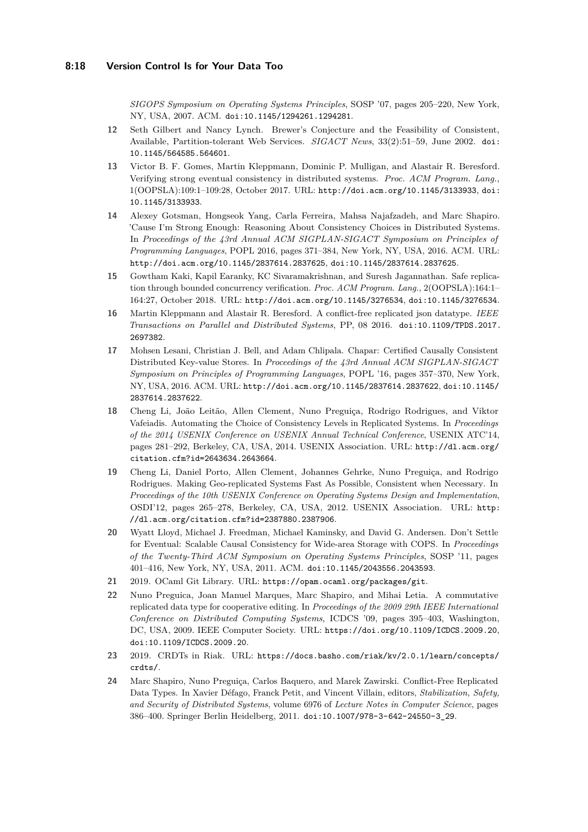*SIGOPS Symposium on Operating Systems Principles*, SOSP '07, pages 205–220, New York, NY, USA, 2007. ACM. [doi:10.1145/1294261.1294281](http://dx.doi.org/10.1145/1294261.1294281).

- <span id="page-17-1"></span>**12** Seth Gilbert and Nancy Lynch. Brewer's Conjecture and the Feasibility of Consistent, Available, Partition-tolerant Web Services. *SIGACT News*, 33(2):51–59, June 2002. [doi:](http://dx.doi.org/10.1145/564585.564601) [10.1145/564585.564601](http://dx.doi.org/10.1145/564585.564601).
- <span id="page-17-3"></span>**13** Victor B. F. Gomes, Martin Kleppmann, Dominic P. Mulligan, and Alastair R. Beresford. Verifying strong eventual consistency in distributed systems. *Proc. ACM Program. Lang.*, 1(OOPSLA):109:1–109:28, October 2017. URL: <http://doi.acm.org/10.1145/3133933>, [doi:](http://dx.doi.org/10.1145/3133933) [10.1145/3133933](http://dx.doi.org/10.1145/3133933).
- <span id="page-17-9"></span>**14** Alexey Gotsman, Hongseok Yang, Carla Ferreira, Mahsa Najafzadeh, and Marc Shapiro. 'Cause I'm Strong Enough: Reasoning About Consistency Choices in Distributed Systems. In *Proceedings of the 43rd Annual ACM SIGPLAN-SIGACT Symposium on Principles of Programming Languages*, POPL 2016, pages 371–384, New York, NY, USA, 2016. ACM. URL: <http://doi.acm.org/10.1145/2837614.2837625>, [doi:10.1145/2837614.2837625](http://dx.doi.org/10.1145/2837614.2837625).
- <span id="page-17-0"></span>**15** Gowtham Kaki, Kapil Earanky, KC Sivaramakrishnan, and Suresh Jagannathan. Safe replication through bounded concurrency verification. *Proc. ACM Program. Lang.*, 2(OOPSLA):164:1– 164:27, October 2018. URL: <http://doi.acm.org/10.1145/3276534>, [doi:10.1145/3276534](http://dx.doi.org/10.1145/3276534).
- <span id="page-17-6"></span>**16** Martin Kleppmann and Alastair R. Beresford. A conflict-free replicated json datatype. *IEEE Transactions on Parallel and Distributed Systems*, PP, 08 2016. [doi:10.1109/TPDS.2017.](http://dx.doi.org/10.1109/TPDS.2017.2697382) [2697382](http://dx.doi.org/10.1109/TPDS.2017.2697382).
- <span id="page-17-12"></span>**17** Mohsen Lesani, Christian J. Bell, and Adam Chlipala. Chapar: Certified Causally Consistent Distributed Key-value Stores. In *Proceedings of the 43rd Annual ACM SIGPLAN-SIGACT Symposium on Principles of Programming Languages*, POPL '16, pages 357–370, New York, NY, USA, 2016. ACM. URL: <http://doi.acm.org/10.1145/2837614.2837622>, [doi:10.1145/](http://dx.doi.org/10.1145/2837614.2837622) [2837614.2837622](http://dx.doi.org/10.1145/2837614.2837622).
- <span id="page-17-10"></span>**18** Cheng Li, João Leitão, Allen Clement, Nuno Preguiça, Rodrigo Rodrigues, and Viktor Vafeiadis. Automating the Choice of Consistency Levels in Replicated Systems. In *Proceedings of the 2014 USENIX Conference on USENIX Annual Technical Conference*, USENIX ATC'14, pages 281–292, Berkeley, CA, USA, 2014. USENIX Association. URL: [http://dl.acm.org/](http://dl.acm.org/citation.cfm?id=2643634.2643664) [citation.cfm?id=2643634.2643664](http://dl.acm.org/citation.cfm?id=2643634.2643664).
- <span id="page-17-11"></span>**19** Cheng Li, Daniel Porto, Allen Clement, Johannes Gehrke, Nuno Preguiça, and Rodrigo Rodrigues. Making Geo-replicated Systems Fast As Possible, Consistent when Necessary. In *Proceedings of the 10th USENIX Conference on Operating Systems Design and Implementation*, OSDI'12, pages 265–278, Berkeley, CA, USA, 2012. USENIX Association. URL: [http:](http://dl.acm.org/citation.cfm?id=2387880.2387906) [//dl.acm.org/citation.cfm?id=2387880.2387906](http://dl.acm.org/citation.cfm?id=2387880.2387906).
- <span id="page-17-8"></span>**20** Wyatt Lloyd, Michael J. Freedman, Michael Kaminsky, and David G. Andersen. Don't Settle for Eventual: Scalable Causal Consistency for Wide-area Storage with COPS. In *Proceedings of the Twenty-Third ACM Symposium on Operating Systems Principles*, SOSP '11, pages 401–416, New York, NY, USA, 2011. ACM. [doi:10.1145/2043556.2043593](http://dx.doi.org/10.1145/2043556.2043593).
- <span id="page-17-7"></span>**21** 2019. OCaml Git Library. URL: <https://opam.ocaml.org/packages/git>.
- <span id="page-17-5"></span>**22** Nuno Preguica, Joan Manuel Marques, Marc Shapiro, and Mihai Letia. A commutative replicated data type for cooperative editing. In *Proceedings of the 2009 29th IEEE International Conference on Distributed Computing Systems*, ICDCS '09, pages 395–403, Washington, DC, USA, 2009. IEEE Computer Society. URL: <https://doi.org/10.1109/ICDCS.2009.20>, [doi:10.1109/ICDCS.2009.20](http://dx.doi.org/10.1109/ICDCS.2009.20).
- <span id="page-17-4"></span>**23** 2019. CRDTs in Riak. URL: [https://docs.basho.com/riak/kv/2.0.1/learn/concepts/](https://docs.basho.com/riak/kv/2.0.1/learn/concepts/crdts/) [crdts/](https://docs.basho.com/riak/kv/2.0.1/learn/concepts/crdts/).
- <span id="page-17-2"></span>**24** Marc Shapiro, Nuno Preguiça, Carlos Baquero, and Marek Zawirski. Conflict-Free Replicated Data Types. In Xavier Défago, Franck Petit, and Vincent Villain, editors, *Stabilization, Safety, and Security of Distributed Systems*, volume 6976 of *Lecture Notes in Computer Science*, pages 386–400. Springer Berlin Heidelberg, 2011. [doi:10.1007/978-3-642-24550-3\\_29](http://dx.doi.org/10.1007/978-3-642-24550-3_29).